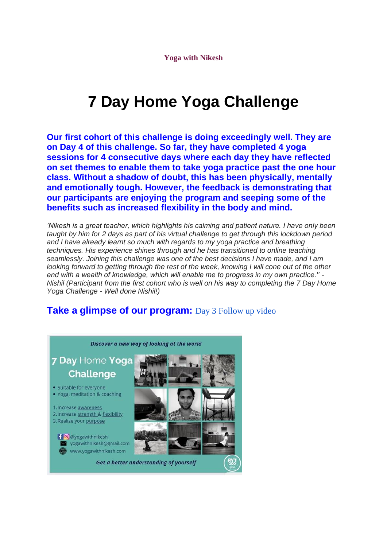**Yoga with Nikesh**

## **7 Day Home Yoga Challenge**

**Our first cohort of this challenge is doing exceedingly well. They are on Day 4 of this challenge. So far, they have completed 4 yoga sessions for 4 consecutive days where each day they have reflected on set themes to enable them to take yoga practice past the one hour class. Without a shadow of doubt, this has been physically, mentally and emotionally tough. However, the feedback is demonstrating that our participants are enjoying the program and seeping some of the benefits such as increased flexibility in the body and mind.**

*'Nikesh is a great teacher, which highlights his calming and patient nature. I have only been taught by him for 2 days as part of his virtual challenge to get through this lockdown period and I have already learnt so much with regards to my yoga practice and breathing techniques. His experience shines through and he has transitioned to online teaching seamlessly*. *Joining this challenge was one of the best decisions I have made, and I am looking forward to getting through the rest of the week, knowing I will cone out of the other end with a wealth of knowledge, which will enable me to progress in my own practice.'' - Nishil (Participant from the first cohort who is well on his way to completing the 7 Day Home Yoga Challenge - Well done Nishil!)*

## Take a glimpse of our program: [Day 3 Follow up video](https://www.youtube.com/watch?v=noQaAqUZPIo)